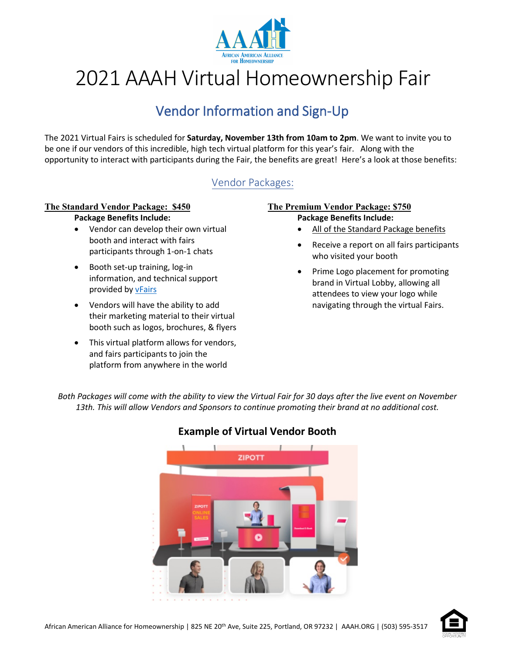

# 2021 AAAH Virtual Homeownership Fair

## Vendor Information and Sign-Up

The 2021 Virtual Fairs is scheduled for **Saturday, November 13th from 10am to 2pm**. We want to invite you to be one if our vendors of this incredible, high tech virtual platform for this year's fair. Along with the opportunity to interact with participants during the Fair, the benefits are great! Here's a look at those benefits:

## Vendor Packages:

#### **The Standard Vendor Package: \$450 Package Benefits Include:**

- Vendor can develop their own virtual booth and interact with fairs participants through 1-on-1 chats
- Booth set-up training, log-in information, and technical support provided b[y vFairs](https://www.vfairs.com/)
- Vendors will have the ability to add their marketing material to their virtual booth such as logos, brochures, & flyers
- This virtual platform allows for vendors, and fairs participants to join the platform from anywhere in the world

#### **The Premium Vendor Package: \$750 Package Benefits Include:**

- All of the Standard Package benefits
- Receive a report on all fairs participants who visited your booth
- Prime Logo placement for promoting brand in Virtual Lobby, allowing all attendees to view your logo while navigating through the virtual Fairs.

*Both Packages will come with the ability to view the Virtual Fair for 30 days after the live event on November 13th. This will allow Vendors and Sponsors to continue promoting their brand at no additional cost.*



## **Example of Virtual Vendor Booth**